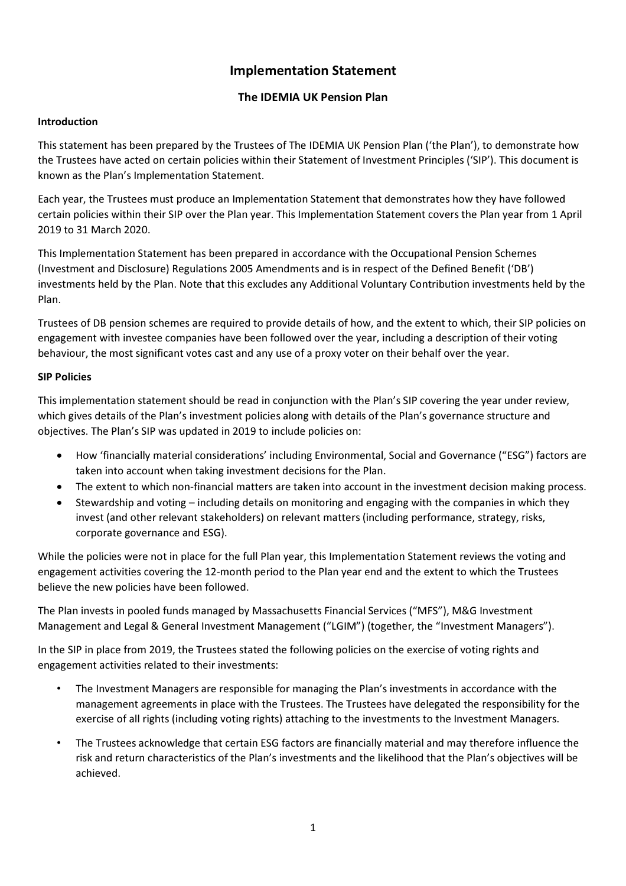# Implementation Statement

## The IDEMIA UK Pension Plan

## Introduction

This statement has been prepared by the Trustees of The IDEMIA UK Pension Plan ('the Plan'), to demonstrate how the Trustees have acted on certain policies within their Statement of Investment Principles ('SIP'). This document is known as the Plan's Implementation Statement.

Each year, the Trustees must produce an Implementation Statement that demonstrates how they have followed certain policies within their SIP over the Plan year. This Implementation Statement covers the Plan year from 1 April 2019 to 31 March 2020.

This Implementation Statement has been prepared in accordance with the Occupational Pension Schemes (Investment and Disclosure) Regulations 2005 Amendments and is in respect of the Defined Benefit ('DB') investments held by the Plan. Note that this excludes any Additional Voluntary Contribution investments held by the Plan.

Trustees of DB pension schemes are required to provide details of how, and the extent to which, their SIP policies on engagement with investee companies have been followed over the year, including a description of their voting behaviour, the most significant votes cast and any use of a proxy voter on their behalf over the year.

## SIP Policies

This implementation statement should be read in conjunction with the Plan's SIP covering the year under review, which gives details of the Plan's investment policies along with details of the Plan's governance structure and objectives. The Plan's SIP was updated in 2019 to include policies on:

- How 'financially material considerations' including Environmental, Social and Governance ("ESG") factors are taken into account when taking investment decisions for the Plan.
- The extent to which non-financial matters are taken into account in the investment decision making process.
- Stewardship and voting including details on monitoring and engaging with the companies in which they invest (and other relevant stakeholders) on relevant matters (including performance, strategy, risks, corporate governance and ESG).

While the policies were not in place for the full Plan year, this Implementation Statement reviews the voting and engagement activities covering the 12-month period to the Plan year end and the extent to which the Trustees believe the new policies have been followed.

The Plan invests in pooled funds managed by Massachusetts Financial Services ("MFS"), M&G Investment Management and Legal & General Investment Management ("LGIM") (together, the "Investment Managers").

In the SIP in place from 2019, the Trustees stated the following policies on the exercise of voting rights and engagement activities related to their investments:

- The Investment Managers are responsible for managing the Plan's investments in accordance with the management agreements in place with the Trustees. The Trustees have delegated the responsibility for the exercise of all rights (including voting rights) attaching to the investments to the Investment Managers.
- The Trustees acknowledge that certain ESG factors are financially material and may therefore influence the risk and return characteristics of the Plan's investments and the likelihood that the Plan's objectives will be achieved.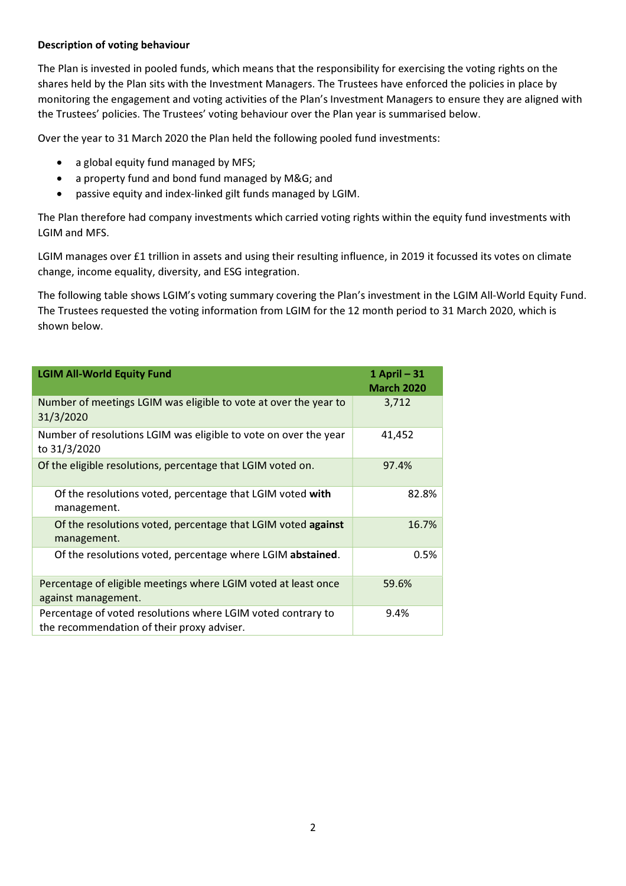#### Description of voting behaviour

The Plan is invested in pooled funds, which means that the responsibility for exercising the voting rights on the shares held by the Plan sits with the Investment Managers. The Trustees have enforced the policies in place by monitoring the engagement and voting activities of the Plan's Investment Managers to ensure they are aligned with the Trustees' policies. The Trustees' voting behaviour over the Plan year is summarised below.

Over the year to 31 March 2020 the Plan held the following pooled fund investments:

- a global equity fund managed by MFS;
- a property fund and bond fund managed by M&G; and
- passive equity and index-linked gilt funds managed by LGIM.

The Plan therefore had company investments which carried voting rights within the equity fund investments with LGIM and MFS.

LGIM manages over £1 trillion in assets and using their resulting influence, in 2019 it focussed its votes on climate change, income equality, diversity, and ESG integration.

The following table shows LGIM's voting summary covering the Plan's investment in the LGIM All-World Equity Fund. The Trustees requested the voting information from LGIM for the 12 month period to 31 March 2020, which is shown below.

| <b>LGIM All-World Equity Fund</b>                                                                          | 1 April - 31<br><b>March 2020</b> |
|------------------------------------------------------------------------------------------------------------|-----------------------------------|
| Number of meetings LGIM was eligible to vote at over the year to<br>31/3/2020                              | 3,712                             |
| Number of resolutions LGIM was eligible to vote on over the year<br>to 31/3/2020                           | 41,452                            |
| Of the eligible resolutions, percentage that LGIM voted on.                                                | 97.4%                             |
| Of the resolutions voted, percentage that LGIM voted with<br>management.                                   | 82.8%                             |
| Of the resolutions voted, percentage that LGIM voted against<br>management.                                | 16.7%                             |
| Of the resolutions voted, percentage where LGIM abstained.                                                 | 0.5%                              |
| Percentage of eligible meetings where LGIM voted at least once<br>against management.                      | 59.6%                             |
| Percentage of voted resolutions where LGIM voted contrary to<br>the recommendation of their proxy adviser. | 9.4%                              |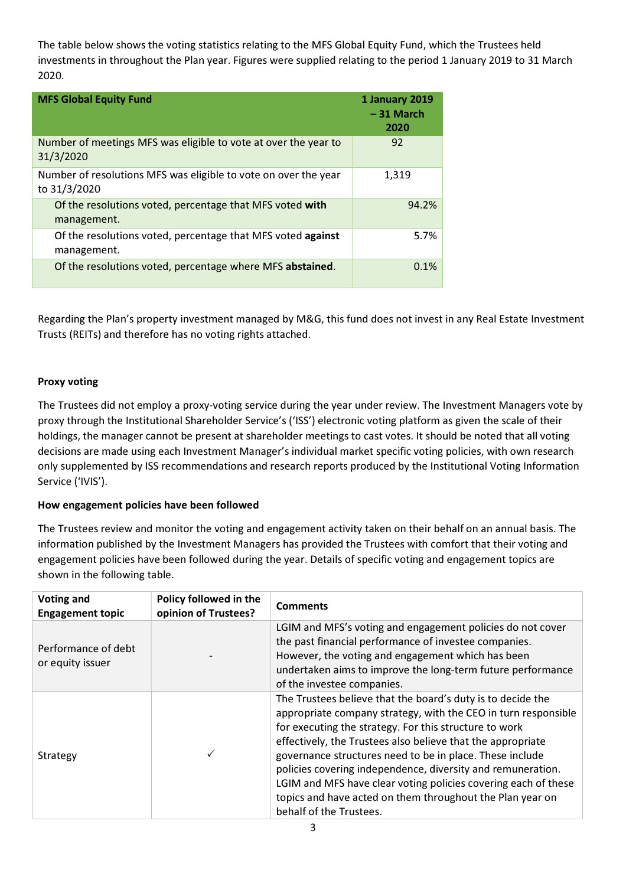The table below shows the voting statistics relating to the MFS Global Equity Fund, which the Trustees held investments in throughout the Plan year. Figures were supplied relating to the period 1 January 2019 to 31 March 2020.

| <b>MFS Global Equity Fund</b>                                                   | 1 January 2019<br>$-31$ March<br>2020 |
|---------------------------------------------------------------------------------|---------------------------------------|
| Number of meetings MFS was eligible to vote at over the year to<br>31/3/2020    | 92                                    |
| Number of resolutions MFS was eligible to vote on over the year<br>to 31/3/2020 | 1,319                                 |
| Of the resolutions voted, percentage that MFS voted with<br>management.         | 94.2%                                 |
| Of the resolutions voted, percentage that MFS voted against<br>management.      | 5.7%                                  |
| Of the resolutions voted, percentage where MFS abstained.                       | 0.1%                                  |

Regarding the Plan's property investment managed by M&G, this fund does not invest in any Real Estate Investment Trusts (REITs) and therefore has no voting rights attached.

#### Proxy voting

The Trustees did not employ a proxy-voting service during the year under review. The Investment Managers vote by proxy through the Institutional Shareholder Service's ('ISS') electronic voting platform as given the scale of their holdings, the manager cannot be present at shareholder meetings to cast votes. It should be noted that all voting decisions are made using each Investment Manager's individual market specific voting policies, with own research only supplemented by ISS recommendations and research reports produced by the Institutional Voting Information Service ('IVIS').

#### How engagement policies have been followed

The Trustees review and monitor the voting and engagement activity taken on their behalf on an annual basis. The information published by the Investment Managers has provided the Trustees with comfort that their voting and engagement policies have been followed during the year. Details of specific voting and engagement topics are shown in the following table.

| <b>Voting and</b><br><b>Engagement topic</b> | Policy followed in the<br>opinion of Trustees? | <b>Comments</b>                                                                                                                                                                                                                                                                                                                                                                                                                                                                                                                             |
|----------------------------------------------|------------------------------------------------|---------------------------------------------------------------------------------------------------------------------------------------------------------------------------------------------------------------------------------------------------------------------------------------------------------------------------------------------------------------------------------------------------------------------------------------------------------------------------------------------------------------------------------------------|
| Performance of debt<br>or equity issuer      |                                                | LGIM and MFS's voting and engagement policies do not cover<br>the past financial performance of investee companies.<br>However, the voting and engagement which has been<br>undertaken aims to improve the long-term future performance<br>of the investee companies.                                                                                                                                                                                                                                                                       |
| Strategy                                     |                                                | The Trustees believe that the board's duty is to decide the<br>appropriate company strategy, with the CEO in turn responsible<br>for executing the strategy. For this structure to work<br>effectively, the Trustees also believe that the appropriate<br>governance structures need to be in place. These include<br>policies covering independence, diversity and remuneration.<br>LGIM and MFS have clear voting policies covering each of these<br>topics and have acted on them throughout the Plan year on<br>behalf of the Trustees. |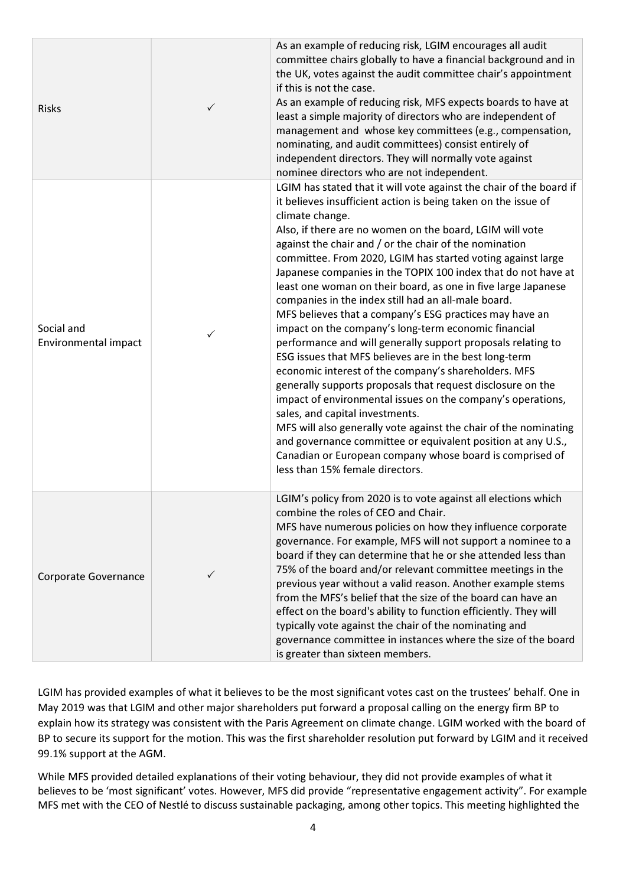| <b>Risks</b>                       | $\checkmark$ | As an example of reducing risk, LGIM encourages all audit<br>committee chairs globally to have a financial background and in<br>the UK, votes against the audit committee chair's appointment<br>if this is not the case.<br>As an example of reducing risk, MFS expects boards to have at<br>least a simple majority of directors who are independent of<br>management and whose key committees (e.g., compensation,<br>nominating, and audit committees) consist entirely of<br>independent directors. They will normally vote against<br>nominee directors who are not independent.                                                                                                                                                                                                                                                                                                                                                                                                                                                                                                                                                                                                                                                          |
|------------------------------------|--------------|-------------------------------------------------------------------------------------------------------------------------------------------------------------------------------------------------------------------------------------------------------------------------------------------------------------------------------------------------------------------------------------------------------------------------------------------------------------------------------------------------------------------------------------------------------------------------------------------------------------------------------------------------------------------------------------------------------------------------------------------------------------------------------------------------------------------------------------------------------------------------------------------------------------------------------------------------------------------------------------------------------------------------------------------------------------------------------------------------------------------------------------------------------------------------------------------------------------------------------------------------|
| Social and<br>Environmental impact | $\checkmark$ | LGIM has stated that it will vote against the chair of the board if<br>it believes insufficient action is being taken on the issue of<br>climate change.<br>Also, if there are no women on the board, LGIM will vote<br>against the chair and / or the chair of the nomination<br>committee. From 2020, LGIM has started voting against large<br>Japanese companies in the TOPIX 100 index that do not have at<br>least one woman on their board, as one in five large Japanese<br>companies in the index still had an all-male board.<br>MFS believes that a company's ESG practices may have an<br>impact on the company's long-term economic financial<br>performance and will generally support proposals relating to<br>ESG issues that MFS believes are in the best long-term<br>economic interest of the company's shareholders. MFS<br>generally supports proposals that request disclosure on the<br>impact of environmental issues on the company's operations,<br>sales, and capital investments.<br>MFS will also generally vote against the chair of the nominating<br>and governance committee or equivalent position at any U.S.,<br>Canadian or European company whose board is comprised of<br>less than 15% female directors. |
| Corporate Governance               | ✓            | LGIM's policy from 2020 is to vote against all elections which<br>combine the roles of CEO and Chair.<br>MFS have numerous policies on how they influence corporate<br>governance. For example, MFS will not support a nominee to a<br>board if they can determine that he or she attended less than<br>75% of the board and/or relevant committee meetings in the<br>previous year without a valid reason. Another example stems<br>from the MFS's belief that the size of the board can have an<br>effect on the board's ability to function efficiently. They will<br>typically vote against the chair of the nominating and<br>governance committee in instances where the size of the board<br>is greater than sixteen members.                                                                                                                                                                                                                                                                                                                                                                                                                                                                                                            |

LGIM has provided examples of what it believes to be the most significant votes cast on the trustees' behalf. One in May 2019 was that LGIM and other major shareholders put forward a proposal calling on the energy firm BP to explain how its strategy was consistent with the Paris Agreement on climate change. LGIM worked with the board of BP to secure its support for the motion. This was the first shareholder resolution put forward by LGIM and it received 99.1% support at the AGM.

While MFS provided detailed explanations of their voting behaviour, they did not provide examples of what it believes to be 'most significant' votes. However, MFS did provide "representative engagement activity". For example MFS met with the CEO of Nestlé to discuss sustainable packaging, among other topics. This meeting highlighted the